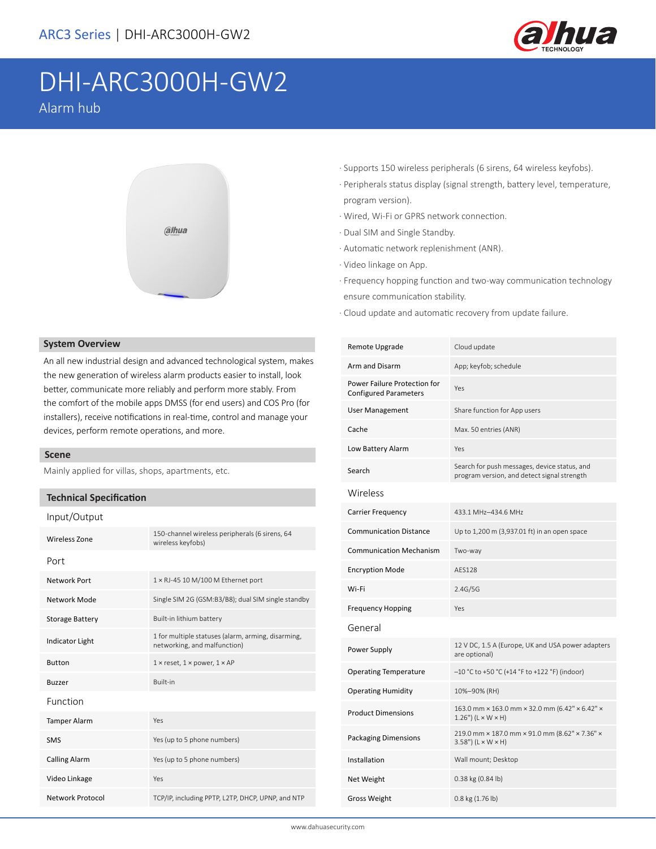

# DHI-ARC3000H-GW2 Alarm hub



### **System Overview**

An all new industrial design and advanced technological system, makes the new generation of wireless alarm products easier to install, look better, communicate more reliably and perform more stably. From the comfort of the mobile apps DMSS (for end users) and COS Pro (for installers), receive notifications in real-time, control and manage your devices, perform remote operations, and more.

### **Scene**

Mainly applied for villas, shops, apartments, etc.

### **Technical Specification**

 $\sqrt{O}$ 

| input/Output           |                                                                                    |  |
|------------------------|------------------------------------------------------------------------------------|--|
| Wireless Zone          | 150-channel wireless peripherals (6 sirens, 64<br>wireless keyfobs)                |  |
| Port                   |                                                                                    |  |
| Network Port           | $1 \times R$ J-45 10 M/100 M Ethernet port                                         |  |
| Network Mode           | Single SIM 2G (GSM:B3/B8); dual SIM single standby                                 |  |
| <b>Storage Battery</b> | Built-in lithium battery                                                           |  |
| <b>Indicator Light</b> | 1 for multiple statuses (alarm, arming, disarming,<br>networking, and malfunction) |  |
| <b>Button</b>          | $1 \times$ reset, $1 \times$ power, $1 \times AP$                                  |  |
| <b>Buzzer</b>          | <b>Built-in</b>                                                                    |  |
| Function               |                                                                                    |  |
| <b>Tamper Alarm</b>    | Yes                                                                                |  |
| <b>SMS</b>             | Yes (up to 5 phone numbers)                                                        |  |
| <b>Calling Alarm</b>   | Yes (up to 5 phone numbers)                                                        |  |
| Video Linkage          | Yes                                                                                |  |
| Network Protocol       | TCP/IP, including PPTP, L2TP, DHCP, UPNP, and NTP                                  |  |

- · Supports 150 wireless peripherals (6 sirens, 64 wireless keyfobs).
- · Peripherals status display (signal strength, battery level, temperature, program version).
- · Wired, Wi-Fi or GPRS network connection.
- · Dual SIM and Single Standby.
- · Automatic network replenishment (ANR).
- · Video linkage on App.
- · Frequency hopping function and two-way communication technology ensure communication stability.
- · Cloud update and automatic recovery from update failure.

| Remote Upgrade                                               | Cloud update                                                                                |  |  |
|--------------------------------------------------------------|---------------------------------------------------------------------------------------------|--|--|
| Arm and Disarm                                               | App; keyfob; schedule                                                                       |  |  |
| Power Failure Protection for<br><b>Configured Parameters</b> | Yes                                                                                         |  |  |
| <b>User Management</b>                                       | Share function for App users                                                                |  |  |
| Cache                                                        | Max. 50 entries (ANR)                                                                       |  |  |
| Low Battery Alarm                                            | Yes                                                                                         |  |  |
| Search                                                       | Search for push messages, device status, and<br>program version, and detect signal strength |  |  |
| Wireless                                                     |                                                                                             |  |  |
| <b>Carrier Frequency</b>                                     | 433.1 MHz-434.6 MHz                                                                         |  |  |
| <b>Communication Distance</b>                                | Up to 1,200 m (3,937.01 ft) in an open space                                                |  |  |
| <b>Communication Mechanism</b>                               | Two-way                                                                                     |  |  |
| <b>Encryption Mode</b>                                       | AFS128                                                                                      |  |  |
| Wi-Fi                                                        | 2.4G/5G                                                                                     |  |  |
| <b>Frequency Hopping</b>                                     | Yes                                                                                         |  |  |
| General                                                      |                                                                                             |  |  |
| Power Supply                                                 | 12 V DC, 1.5 A (Europe, UK and USA power adapters<br>are optional)                          |  |  |
| <b>Operating Temperature</b>                                 | -10 °C to +50 °C (+14 °F to +122 °F) (indoor)                                               |  |  |
| <b>Operating Humidity</b>                                    | 10%-90% (RH)                                                                                |  |  |
| <b>Product Dimensions</b>                                    | 163.0 mm × 163.0 mm × 32.0 mm (6.42" × 6.42" ×<br>$1.26"$ ) ( $L \times W \times H$ )       |  |  |
| <b>Packaging Dimensions</b>                                  | 219.0 mm × 187.0 mm × 91.0 mm (8.62" × 7.36" ×<br>$3.58"$ ) (L × W × H)                     |  |  |
| Installation                                                 | Wall mount; Desktop                                                                         |  |  |
| Net Weight                                                   | 0.38 kg (0.84 lb)                                                                           |  |  |
| Gross Weight                                                 | 0.8 kg (1.76 lb)                                                                            |  |  |
|                                                              |                                                                                             |  |  |